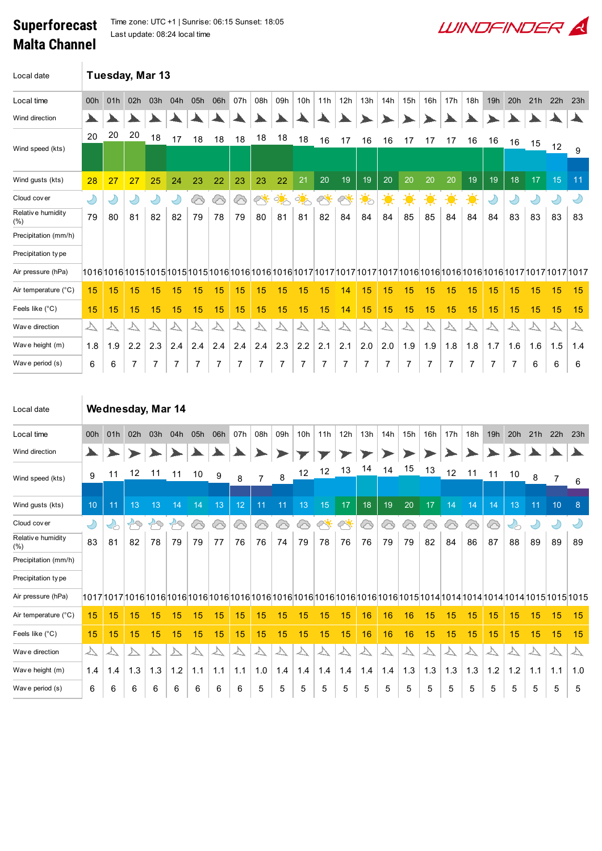## Superforecast Malta Channel

Time zone: UTC +1 | Sunrise: 06:15 Sunset: 18:05 Last update: 08:24 local time

| Local date                       | Tuesday, Mar 13             |                  |                             |                          |                             |                     |             |                   |                   |                   |                   |                  |                   |                   |                   |                   |                   |                             |                     |                   |                  |                          |                   |                  |
|----------------------------------|-----------------------------|------------------|-----------------------------|--------------------------|-----------------------------|---------------------|-------------|-------------------|-------------------|-------------------|-------------------|------------------|-------------------|-------------------|-------------------|-------------------|-------------------|-----------------------------|---------------------|-------------------|------------------|--------------------------|-------------------|------------------|
| Local time                       | 00h                         | 01h              | 02h                         | 03h                      | 04h                         | 05h                 | 06h         | 07h               | 08h               | 09h               | 10h               | 11h              | 12h               | 13h               | 14h               | 15h               | 16h               | 17h                         | 18h                 | 19h               | 20h              | 21h                      | 22h               | 23h              |
| Wind direction                   |                             |                  |                             |                          |                             |                     |             |                   |                   |                   |                   |                  |                   |                   |                   |                   |                   |                             |                     |                   |                  |                          |                   |                  |
|                                  | 20                          | 20               | 20                          | 18                       | 17                          | 18                  | 18          | 18                | 18                | 18                | 18                | 16               | 17                | 16                | 16                | 17                | 17                | 17                          | 16                  | 16                |                  |                          |                   |                  |
| Wind speed (kts)                 |                             |                  |                             |                          |                             |                     |             |                   |                   |                   |                   |                  |                   |                   |                   |                   |                   |                             |                     |                   | 16               | 15                       | 12                | 9                |
| Wind gusts (kts)                 | 28                          | 27               | 27                          | 25                       | 24                          | 23                  | 22          | 23                | 23                | 22                | 21                | 20               | 19                | 19                | 20                | 20                | 20                | 20                          | 19                  | 19                | 18               | 17                       | 15                | 11               |
| Cloud cover                      | Y                           | Ÿ                | $\bigcirc$                  | $\bigcirc$               | $\bigcirc$                  | ⊗                   | 6           | 6                 |                   | $\frac{1}{2}$     | <u>ं.</u>         | $\oslash$        | ╱                 | .<br>१०           | $\cdot \bullet$   | $\cdot \bullet$   | $\ddot{\bullet}$  | $\frac{1}{2}$               | $\frac{1}{2}$       | $\bigcirc$        |                  |                          | $\bigcirc$        | D                |
| Relative humidity<br>$(\%)$      | 79                          | 80               | 81                          | 82                       | 82                          | 79                  | 78          | 79                | 80                | 81                | 81                | 82               | 84                | 84                | 84                | 85                | 85                | 84                          | 84                  | 84                | 83               | 83                       | 83                | 83               |
| Precipitation (mm/h)             |                             |                  |                             |                          |                             |                     |             |                   |                   |                   |                   |                  |                   |                   |                   |                   |                   |                             |                     |                   |                  |                          |                   |                  |
| Precipitation type               |                             |                  |                             |                          |                             |                     |             |                   |                   |                   |                   |                  |                   |                   |                   |                   |                   |                             |                     |                   |                  |                          |                   |                  |
| Air pressure (hPa)               |                             |                  |                             |                          |                             |                     |             |                   |                   |                   |                   |                  |                   |                   |                   |                   |                   |                             |                     |                   |                  |                          |                   |                  |
| Air temperature (°C)             | 15                          | 15               | 15                          | 15                       | 15                          | 15                  | 15          | 15                | 15                | 15                | 15                | 15               | 14                | 15                | 15                | 15                | 15                | 15                          | 15                  | 15                | 15               | 15                       | 15                | 15               |
| Feels like $(^{\circ}C)$         | 15                          | 15               | 15                          | 15                       | 15                          | 15                  | 15          | 15                | 15                | 15                | 15                | 15               | 14                | 15                | 15                | 15                | 15                | 15                          | 15                  | 15                | 15               | 15                       | 15                | 15               |
| Wav e direction                  | $\overline{\triangleright}$ | $\triangleright$ | $\overline{\triangleright}$ | $\overline{\vee}$        | $\overline{\triangleright}$ | $\triangleright$    | $\triangle$ | $\overline{\vee}$ | $\overline{\vee}$ | $\overline{\vee}$ | △                 | $\triangleright$ | $\triangleright$  | $\triangleright$  | $\triangleright$  | $\triangleright$  | $\overline{\vee}$ | $\overline{\triangleright}$ | $\forall$           | $\triangleright$  | $\triangleright$ |                          | $\overline{\vee}$ | $\triangleright$ |
| Wave height (m)                  | 1.8                         | 1.9              | 2.2                         | 2.3                      | 2.4                         | 2.4                 | 2.4         | 2.4               | 2.4               | 2.3               | 2.2               | 2.1              | 2.1               | 2.0               | 2.0               | 1.9               | 1.9               | 1.8                         | 1.8                 | 1.7               | 1.6              | 1.6                      | 1.5               | 1.4              |
| Wave period (s)                  | 6                           | 6                | 7                           | 7                        | 7                           | 7                   | 7           | 7                 | 7                 | 7                 | 7                 | 7                | 7                 | 7                 | 7                 | 7                 | 7                 | 7                           | 7                   | 7                 | 7                | 6                        | 6                 | 6                |
| Local date                       |                             |                  |                             |                          | Wednesday, Mar 14           |                     |             |                   |                   |                   |                   |                  |                   |                   |                   |                   |                   |                             |                     |                   |                  |                          |                   |                  |
| Local time                       | 00h                         | 01h              | 02h                         | 03h                      | 04h                         | 05h                 | 06h         | 07h               | 08h               | 09h               | 10h               | 11h              | 12h               | 13h               | 14h               | 15h               | 16h               | 17h                         | 18h                 | 19h               | 20h              | 21h                      | 22h               | 23h              |
| Wind direction                   |                             |                  |                             |                          |                             |                     |             |                   |                   |                   |                   |                  |                   |                   |                   |                   |                   |                             |                     |                   |                  |                          |                   |                  |
| Wind speed (kts)                 | 9                           | 11               | 12                          | 11                       | 11                          | 10                  | 9           | 8                 | $\overline{7}$    | 8                 | 12                | 12               | 13                | 14                | 14                | 15                | 13                | 12                          | 11                  | 11                | 10               | 8                        | $\overline{7}$    | 6                |
|                                  |                             |                  |                             |                          |                             |                     |             |                   |                   |                   |                   |                  |                   |                   |                   |                   |                   |                             |                     |                   |                  |                          |                   |                  |
| Wind gusts (kts)                 | 10                          | 11               | 13                          | 13                       | 14                          | 14                  | 13          | 12                | 11                | 11                | 13                | 15               | 17                | 18                | 19                | 20                | 17                | 14                          | 14                  | 14                | 13               | 11                       | 10                | 8                |
| Cloud cover<br>Relative humidity | $\bigcirc$                  |                  | $\curvearrowleft$           | fQ                       | 29                          | ′                   | ′           | ′                 | ′⊘                | ⓒ                 | ′                 | ╱                |                   |                   | ′                 | ′                 | ′                 | ′                           | ⓒ                   | ′                 |                  | Y                        | $\bigcirc$        |                  |
| $(\%)$                           | 83                          | 81               | 82                          | 78                       | 79                          | 79                  | 77          | 76                | 76                | 74                | 79                | 78               | 76                | 76                | 79                | 79                | 82                | 84                          | 86                  | 87                | 88               | 89                       | 89                | 89               |
| Precipitation (mm/h)             |                             |                  |                             |                          |                             |                     |             |                   |                   |                   |                   |                  |                   |                   |                   |                   |                   |                             |                     |                   |                  |                          |                   |                  |
| Precipitation type               |                             |                  |                             |                          |                             |                     |             |                   |                   |                   |                   |                  |                   |                   |                   |                   |                   |                             |                     |                   |                  |                          |                   |                  |
| Air pressure (hPa)               |                             |                  |                             |                          |                             |                     |             |                   |                   |                   |                   |                  |                   |                   |                   |                   |                   |                             |                     |                   |                  |                          |                   |                  |
| Air temperature (°C)             | 15                          | 15               | 15                          | 15                       | 15                          | 15                  | 15          | 15                | 15                | 15                | 15                | 15               | 15                | 16                | 16                | 16                | 15                | 15                          | 15                  | 15                | 15               | 15                       | 15                | 15               |
| Feels like (°C)                  | 15                          | 15               | 15                          | 15                       | 15                          | 15                  | 15          | 15                | 15                | 15                | 15                | 15               | 15                | 16                | 16                | 16                | 15                | 15                          | 15                  | 15                | 15               | 15                       | 15                | 15               |
| Wav e direction                  | $\bigtriangledown$          | $\triangleright$ | ∠                           | $\overline{\mathcal{V}}$ | $\triangleright$            | $\overline{\nabla}$ | $\Delta$    | $\overline{\vee}$ | $\triangleright$  | $\Delta$          | $\overline{\vee}$ | $\Delta$         | $\overline{\vee}$ | $\overline{\vee}$ | $\overline{\vee}$ | $\overline{\vee}$ | $\Delta$          | $\overline{\vee}$           | $\overline{\nabla}$ | $\overline{\vee}$ | $\forall$        | $\overline{\mathcal{V}}$ | $\overline{\vee}$ | $\Delta$         |
| Wave height (m)                  | 1.4                         | 1.4              | 1.3                         | 1.3                      | $1.2$                       | 1.1                 | 1.1         | 1.1               | 1.0               | 1.4               | 1.4               | 1.4              | 1.4               | 1.4               | 1.4               | 1.3               | 1.3               | 1.3                         | 1.3                 | 1.2               | 1.2              | 1.1                      | 1.1               | 1.0              |

**LUINDEINDER** 

Wav e period (s) 6 6 6 6 6 6 6 6 5 5 5 5 5 5 5 5 5 5 5 5 5 5 5 5